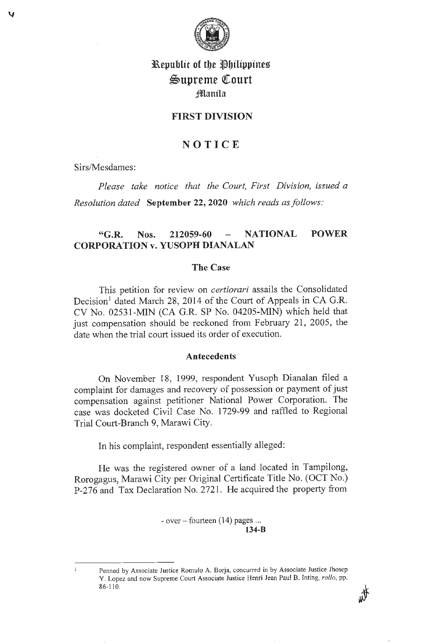

# l\.epublic of tbe flbilippines Supreme Court ;!Manila

# **FIRST DIVISION**

# **NOTICE**

Sirs/Mesdames:

*Please take notice that the Court, First Division, issued a Resolution dated* **September 22, 2020** *which reads as follows:* 

# **"G.R. Nos. 212059-60 NATIONAL POWER CORPORATION v. YUSOPH DIANALAN**

#### **The Case**

This petition for review on *certiorari* assails the Consolidated Decision<sup>1</sup> dated March 28, 2014 of the Court of Appeals in CA G.R. CV No. 02531-MIN (CA G.R. SP No. 04205-MIN) which held that just compensation should be reckoned from February 21, 2005, the date when the trial court issued its order of execution.

#### **Antecedents**

On November 18, 1999, respondent Yusoph Dianalan filed a complaint for damages and recovery of possession or payment of just compensation against petitioner National Power Corporation. The case was docketed Civil Case No. 1729-99 and raffled to Regional Trial Court-Branch 9, Marawi City.

In his complaint, respondent essentially alleged:

He was the registered owner of a land located in Tampilong, Rorogagus, Marawi City per Original Certificate Title No. (OCT No.) P-276 and Tax Declaration No. 2721. He acquired the property from

> $-$  over  $-$  fourteen (14) pages ... **134-B**

 $\mathbf{I}$ 

Penned by Associate Justice Romulo A. Borja, concurred in by Associate Justice Jhosep Y. Lopez and now Supreme Court Associate Justice Henri Jean Paul B. Inting, *rollo*, pp. 86-110.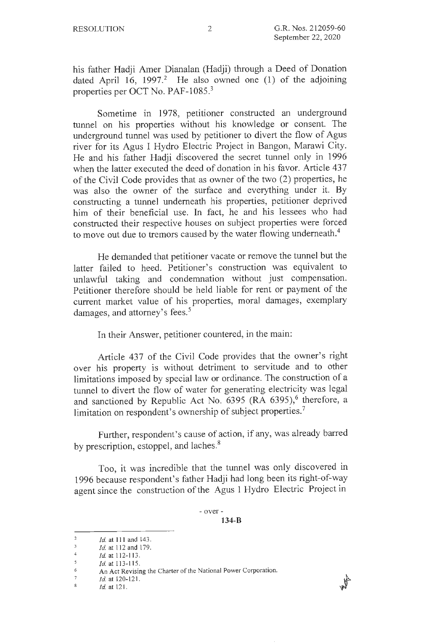his father Hadji Amer Dianalan (Hadji) through a Deed of Donation dated April 16, 1997.<sup>2</sup> He also owned one  $(1)$  of the adjoining properties per OCT No. PAF-1085.<sup>3</sup>

Sometime in 1978, petitioner constructed an underground tunnel on his properties without his knowledge or consent. The underground tunnel was used by petitioner to divert the flow of Agus river for its Agus I Hydro Electric Project in Bangon, Marawi City. He and his father Hadji discovered the secret tunnel only in 1996 when the latter executed the deed of donation in his favor. Article 437 of the Civil Code provides that as owner of the two (2) properties, he was also the owner of the surface and everything under it. By constructing a tunnel underneath his properties, petitioner deprived him of their beneficial use. In fact, he and his lessees who had constructed their respective houses on subject properties were forced to move out due to tremors caused by the water flowing underneath.<sup>4</sup>

He demanded that petitioner vacate or remove the tunnel but the latter failed to heed. Petitioner's construction was equivalent to unlawful taking and condemnation without just compensation. Petitioner therefore should be held liable for rent or payment of the current market value of his properties, moral damages, exemplary damages, and attorney's fees.<sup>5</sup>

In their Answer, petitioner countered, in the main:

Article 437 of the Civil Code provides that the owner's right over his property is without detriment to servitude and to other limitations imposed by special law or ordinance. The construction of a tunnel to divert the flow of water for generating electricity was legal and sanctioned by Republic Act No.  $6395$  (RA 6395),<sup>6</sup> therefore, a limitation on respondent's ownership of subject properties.<sup>7</sup>

Further, respondent's cause of action, if any, was already barred by prescription, estoppel, and laches.<sup>8</sup>

Too, it was incredible that the tunnel was only discovered in 1996 because respondent's father Hadji had long been its right-of-way agent since the construction of the Agus 1 Hydro Electric Project in

 $\overline{2}$ *Id.* at 111 and 143.

 $\overline{3}$ *Id.* at 112 and 179.

 $\overline{4}$ *Id.* at 112-113.

 $\mathsf S$ *Id.* at 113-115.

<sup>6</sup>  An Act Revising the Charter of the National Power Corporation.

 $\bar{7}$ *Id.* at 120-121.

 $\mathbf{8}$ *Id.* at 121.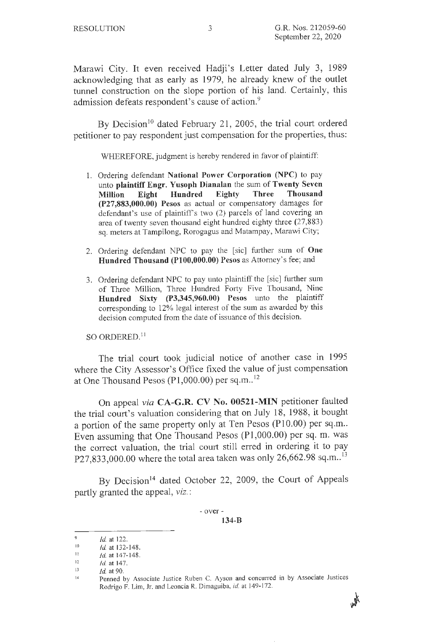Marawi City. It even received Hadji's Letter dated July 3, 1989 acknowledging that as early as 1979, he already knew of the outlet tunnel construction on the slope portion of his land. Certainly, this admission defeats respondent's cause of action.<sup>9</sup>

By Decision<sup>10</sup> dated February 21, 2005, the trial court ordered petitioner to pay respondent just compensation for the properties, thus:

WHEREFORE, judgment is hereby rendered in favor of plaintiff:

- 1. Ordering defendant **National Power Corporation (NPC)** to pay unto **plaintiff Engr. Yusoph Dianalan** the sum of **Twenty Seven Million Eight Hundred Eighty Three Thousand (P27,883,000.00) Pesos** as actual or compensatory damages for defendant's use of plaintiff's two (2) parcels of land covering an area of twenty seven thousand eight hundred eighty three (27,883) sq. meters at Tampilong, Rorogagus and Matampay, Marawi City;
- 2. Ordering defendant NPC to pay the [sic] further sum of **One Hundred Thousand (Pl00,000.00) Pesos** as Attorney's fee; and
- 3. Ordering defendant NPC to pay unto plaintiff the [sic] further sum of Three Million, Three Hundred Forty Five Thousand, Nine **Hundred Sixty (P3,345,960.00) Pesos** unto the plaintiff corresponding to 12% legal interest of the sum as awarded by this decision computed from the date of issuance of this decision.

so ORDERED. <sup>11</sup>

The trial court took judicial notice of another case in 1995 where the City Assessor's Office fixed the value of just compensation at One Thousand Pesos (P1,000.00) per sq.m. $^{12}$ 

On appeal *via* **CA-G.R. CV No. 00521-MIN** petitioner faulted the trial court's valuation considering that on July 18, 1988, it bought a portion of the same property only at Ten Pesos (P10.00) per sq.m.. Even assuming that One Thousand Pesos (Pl,000.00) per sq. m. was the correct valuation, the trial court still erred in ordering it to pay P27,833,000.00 where the total area taken was only  $26,662.98$  sq.m..<sup>13</sup>

By Decision<sup>14</sup> dated October 22, 2009, the Court of Appeals partly granted the appeal, viz.:

> - over - **134-B**

**水** 

<sup>9</sup>  *Id.* at 122.

<sup>10</sup>  Id. at 132-148.

II *Id.* at 147-148.

<sup>12</sup>  *Id.* at 147.

<sup>13</sup>  *id.* at 90.

<sup>14</sup>  Penned by Associate Justice Ruben C. Ayson and concurred in by Associate Justices Rodrigo F. Lim, Jr. and Leoncia R. Dimaguiba, *id.* at 149-172.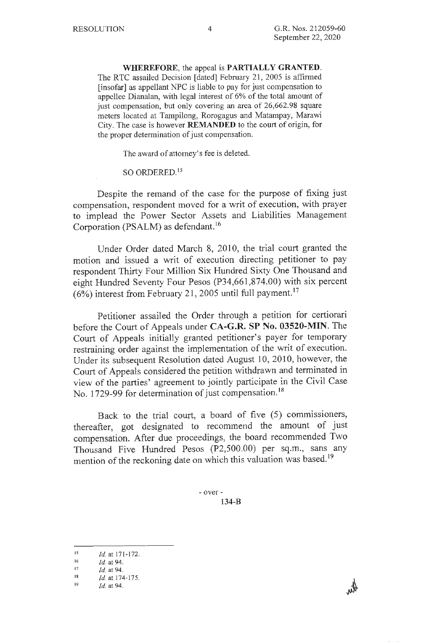**WHEREFORE,** the appeal is **PARTIALLY GRANTED.**  The RTC assailed Decision [dated] February 21, 2005 is affirmed [insofar] as appellant NPC is liable to pay for just compensation to appellee Dianalan, with legal interest of 6% of the total amount of just compensation, but only covering an area of 26,662.98 square meters located at Tampilong, Rorogagus and Matampay, Marawi City. The case is however **REMANDED** to the court of origin, for the proper determination of just compensation.

The award of attorney's fee is deleted.

so ORDERED. <sup>15</sup>

Despite the remand of the case for the purpose of fixing just compensation, respondent moved for a writ of execution, with prayer to implead the Power Sector Assets and Liabilities Management Corporation **(PSALM)** as defendant. <sup>16</sup>

Under Order dated March 8, 2010, the trial court granted the motion and issued a writ of execution directing petitioner to pay respondent Thirty Four Million Six Hundred Sixty One Thousand and eight Hundred Seventy Four Pesos (P34,661,874.00) with six percent  $(6%)$  interest from February 21, 2005 until full payment.<sup>17</sup>

Petitioner assailed the Order through a petition for certiorari before the Court of Appeals under **CA-G.R. SP No. 03520-MIN.** The Court of Appeals initially granted petitioner's payer for temporary restraining order against the implementation of the writ of execution. Under its subsequent Resolution dated August 10, 2010, however, the Court of Appeals considered the petition withdrawn and terminated in view of the parties' agreement to jointly participate in the Civil Case No. 1729-99 for determination of just compensation.<sup>18</sup>

Back to the trial court, a board of five (5) commissioners, thereafter, got designated to recommend the amount of just compensation. After due proceedings, the board recommended Two Thousand Five Hundred Pesos (P2,500.00) per sq.m., sans any mention of the reckoning date on which this valuation was based.<sup>19</sup>

<sup>15</sup> *Id.* at 171-172.

<sup>16</sup> *Id.* at 94.

<sup>17</sup> *Id.* at 94.

<sup>18</sup> *Id.* at 174-175.

<sup>19</sup> *Id.* at 94.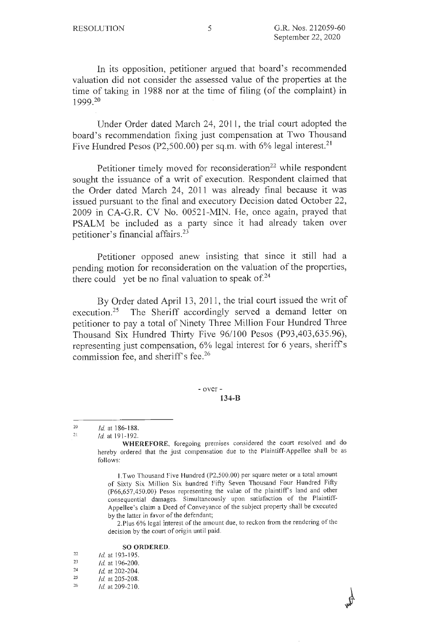In its opposition, petitioner argued that board's recommended valuation did not consider the assessed value of the properties at the time of taking in 1988 nor at the time of filing (of the complaint) in 1999.20

Under Order dated March 24, 2011, the trial court adopted the board's recommendation fixing just compensation at Two Thousand Five Hundred Pesos (P2,500.00) per sq.m. with  $6\%$  legal interest.<sup>21</sup>

Petitioner timely moved for reconsideration<sup>22</sup> while respondent sought the issuance of a writ of execution. Respondent claimed that the Order dated March 24, 2011 was already final because it was issued pursuant to the final and executory Decision dated October 22, 2009 in CA-G.R. CV No. 00521-MIN. He, once again, prayed that PSALM be included as a party since it had already taken over petitioner's financial affairs. 23

Petitioner opposed anew insisting that since it still had a pending motion for reconsideration on the valuation of the properties, there could yet be no final valuation to speak of. $24$ 

By Order dated April 13, 2011, the trial court issued the writ of execution.<sup>25</sup> The Sheriff accordingly served a demand letter on petitioner to pay a total of Ninety Three Million Four Hundred Three Thousand Six Hundred Thirty Five 96/100 Pesos (P93,403,635.96), representing just compensation, 6% legal interest for 6 years, sheriff's commission fee, and sheriff's fee.<sup>26</sup>

> - over - **134-B**

2.Plus 6% legal interest of the amount due, to reckon from the rendering of the decision by the court of origin until paid.

#### **SO ORDERED.**

| 22 | <i>Id.</i> at 193-195. |
|----|------------------------|
| 23 | <i>Id.</i> at 196-200. |
| 24 | $Id.$ at 202-204.      |
| 25 | <i>Id.</i> at 205-208. |

26

<sup>20</sup>   $21$ Id. at 186-188.

*Id.* at 191-192.

**WHEREFORE,** foregoing premises considered the court resolved and do hereby ordered that the just compensation due to the Plaintiff-Appellee shall be as follows:

I .Two Thousand Five Hundred (P2,500.00) per square meter or a total amount of Sixty Six Million Six hundred Fifty Seven Thousand Four Hundred Fifty (P66,657,450.00) Pesos representing the value of the plaintiffs land and other consequential damages. Simultaneously upon satisfaction of the Plaintiff-Appellee's claim a Deed of Conveyance of the subject property shall be executed by the latter in favor of the defendant;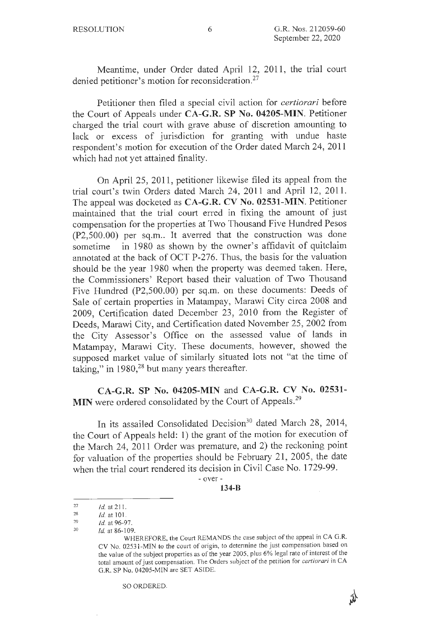Meantime, under Order dated April 12, 2011, the trial court denied petitioner's motion for reconsideration.<sup>27</sup>

Petitioner then filed a special civil action for *certiorari* before the Court of Appeals under **CA-G.R. SP No. 04205-MIN.** Petitioner charged the trial court with grave abuse of discretion amounting to lack or excess of jurisdiction for granting with undue haste respondent's motion for execution of the Order dated March 24, 2011 which had not yet attained finality.

On April 25, 2011, petitioner likewise filed its appeal from the trial court's twin Orders dated March 24, 2011 and April 12, 2011. The appeal was docketed as **CA-G.R. CV No. 02531-MIN.** Petitioner maintained that the trial court erred in fixing the amount of just compensation for the properties at Two Thousand Five Hundred Pesos  $(P2,500.00)$  per sq.m.. It averred that the construction was done sometime in 1980 as shown by the owner's affidavit of quitclaim annotated at the back of OCT P-276. Thus, the basis for the valuation should be the year 1980 when the property was deemed taken. Here, the Commissioners' Report based their valuation of Two Thousand Five Hundred (P2,500.00) per sq.m. on these documents: Deeds of Sale of certain properties in Matampay, Marawi City circa 2008 and 2009, Certification dated December 23, 2010 from the Register of Deeds, Marawi City, and Certification dated November 25, 2002 from the City Assessor's Office on the assessed value of lands in Matampay, Marawi City. These documents, however, showed the supposed market value of similarly situated lots not "at the time of taking," in  $1980$ <sup>28</sup> but many years thereafter.

**CA-G.R. SP No. 04205-MIN** and **CA-G.R. CV No. 02531-** MIN were ordered consolidated by the Court of Appeals.<sup>29</sup>

In its assailed Consolidated Decision<sup>30</sup> dated March 28, 2014, the Court of Appeals held: **1)** the grant of the motion for execution of the March 24, 2011 Order was premature, and 2) the reckoning point for valuation of the properties should be February 21, 2005, the date when the trial court rendered its decision in Civil Case No. 1729-99.

> - over - **134-B**

€

SO ORDERED.

<sup>27</sup>  *Id.* at 211.

<sup>28</sup>  *Id.* at JOI.

<sup>29</sup>  *Id.* at 96-97.

<sup>30</sup>  *Id.* at 86-109.

WHEREFORE, the Court REMANDS the case subject of the appeal in CA G.R. CV No. 02531-MIN to the court of origin, to determine the just compensation based on the value of the subject properties as of the year 2005, plus 6% legal rate of interest of the total amount of just compensation. The Orders subject of the petition for *certiorari* in CA G.R. SP No. 04205-MIN are SET ASIDE.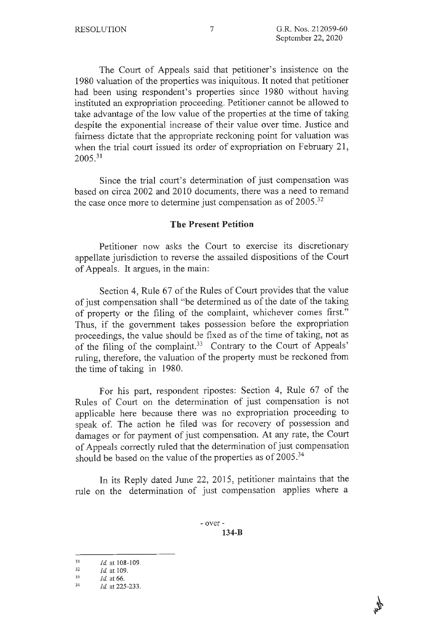The Court of Appeals said that petitioner's insistence on the 1980 valuation of the properties was iniquitous. It noted that petitioner had been using respondent's properties since 1980 without having instituted an expropriation proceeding. Petitioner cannot be allowed to take advantage of the low value of the properties at the time of taking despite the exponential increase of their value over time. Justice and fairness dictate that the appropriate reckoning point for valuation was when the trial court issued its order of expropriation on February 21,  $2005.<sup>31</sup>$ 

Since the trial court's determination of just compensation was based on circa 2002 and 2010 documents, there was a need to remand the case once more to determine just compensation as of  $2005.^{32}$ 

#### **The Present Petition**

Petitioner now asks the Court to exercise its discretionary appellate jurisdiction to reverse the assailed dispositions of the Court of Appeals. It argues, in the main:

Section 4, Rule 67 of the Rules of Court provides that the value of just compensation shall "be determined as of the date of the taking of property or the filing of the complaint, whichever comes first." Thus, if the government takes possession before the expropriation proceedings, the value should be fixed as of the time of taking, not as of the filing of the complaint.<sup>33</sup> Contrary to the Court of Appeals' ruling, therefore, the valuation of the property must be reckoned from the time of taking in 1980.

For his part, respondent ripostes: Section 4, Rule 67 of the Rules of Court on the determination of just compensation is not applicable here because there was no expropriation proceeding to speak of. The action he filed was for recovery of possession and damages or for payment of just compensation. At any rate, the Court of Appeals correctly ruled that the determination of just compensation should be based on the value of the properties as of  $2005.^{34}$ 

In its Reply dated June 22, 2015, petitioner maintains that the rule on the determination of just compensation applies where a

<sup>31</sup>  *Id.* at 108-109.

<sup>32</sup>  *Id.* at 109.

<sup>33</sup>  *Id.* at 66.

<sup>34</sup>  *Id.* at 225-233.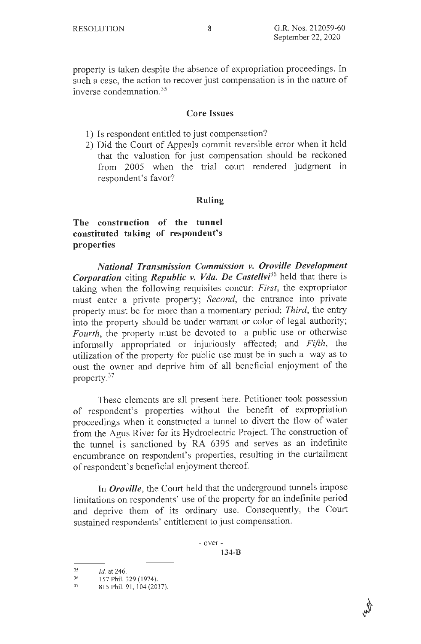property is taken despite the absence of expropriation proceedings. In such a case, the action to recover just compensation is in the nature of inverse condemnation.<sup>35</sup>

### **Core Issues**

- 1) Is respondent entitled to just compensation?
- 2) Did the Court of Appeals commit reversible error when it held that the valuation for just compensation should be reckoned from 2005 when the trial court rendered judgment in respondent's favor?

## **Ruling**

# **The construction of the tunnel constituted taking of respondent's properties**

*National Transmission Commission v. Oroville Development Corporation* citing *Republic v. Vda. De Castellvi36* held that there is taking when the following requisites concur: *First,* the expropriator must enter a private property; *Second,* the entrance into private property must be for more than a momentary period; *Third,* the entry into the property should be under warrant or color of legal authority; *Fourth,* the property must be devoted to a public use or otherwise informally appropriated or injuriously affected; and *Fifth,* the utilization of the property for public use must be in such a way as to oust the owner and deprive him of all beneficial enjoyment of the property. $37$ 

These elements are all present here. Petitioner took possession of respondent's properties without the benefit of expropriation proceedings when it constructed a tunnel to divert the flow of water from the Agus River for its Hydroelectric Project. The construction of the tunnel is sanctioned by RA 6395 and serves as an indefinite encumbrance on respondent's properties, resulting in the curtailment of respondent's beneficial enjoyment thereof.

In *Oroville*, the Court held that the underground tunnels impose limitations on respondents' use of the property for an indefinite period and deprive them of its ordinary use. Consequently, the Court sustained respondents' entitlement to just compensation.

<sup>35</sup>  *Id.* at 246.

<sup>36</sup>  157 Phil. 329 (1974).

<sup>37</sup>  815 Phil. 91, 104 (2017).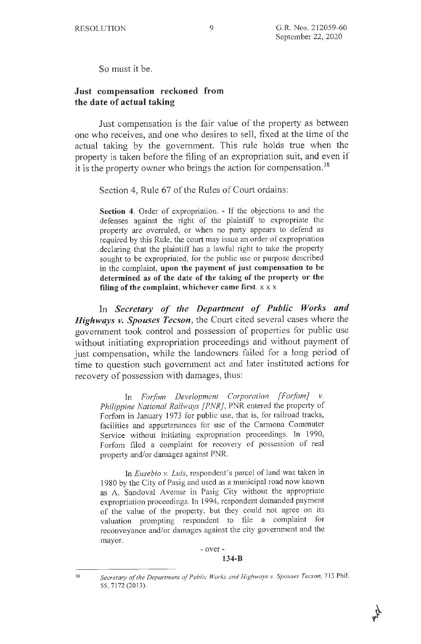So must it be.

### **Just compensation reckoned from the date of actual taking**

Just compensation is the fair value of the property as between one who receives, and one who desires to sell, fixed at the time of the actual taking by the government. This rule holds true when the property is taken before the filing of an expropriation suit, and even if it is the property owner who brings the action for compensation.<sup>38</sup>

Section 4, *Rule* 67 of the Rules of Court ordains:

**Section 4.** Order of expropriation. - If the objections to and the defenses against the right of the plaintiff to expropriate the property are overruled, or when no party appears to defend as required by this Rule, the court may issue an order of expropriation . declaring that the plaintiff has a lawful right to take the property sought to be expropriated, for the public use or purpose described in the complaint, **upon the payment of just compensation to be determined as of the date of the taking of the property or the**  filing of the complaint, whichever came first.  $x \times x$ 

In *Secretary of the Department of Public Works and Highways v. Spouses Tecson,* the Court cited several cases where the government took control and possession of properties for public use without initiating expropriation proceedings and without payment of just compensation, while the landowners failed for a long period of time to question such government act and later instituted actions for recovery of possession with damages, thus:

In *Forfom Development Corporation [Forfom} v. Philippine National Railways [PNR],* PNR entered the property of Forfom in January 1973 for public use, that is, for railroad tracks, facilities and appurtenances for use of the Carmona Commuter Service without initiating expropriation proceedings. In 1990, Forfom filed a complaint for recovery of possession of real property and/or damages against PNR.

In *Eusebio v. Luis,* respondent's parcel of land was taken in 1980 by the City of Pasig and used as a municipal road now known as A. Sandoval Avenue in Pasig City without the appropriate expropriation proceedings. In 1994, respondent demanded payment of the value of the property, but they could not agree on its valuation prompting respondent to file a complaint for reconveyance and/or damages against the city government and the mayor.

#### - over - **134-B**

Secretary of the Department of Public Works and Highways v. Spouses Tecson, 713 Phil. 55, 7 172 (2013).

k.,

<sup>38</sup>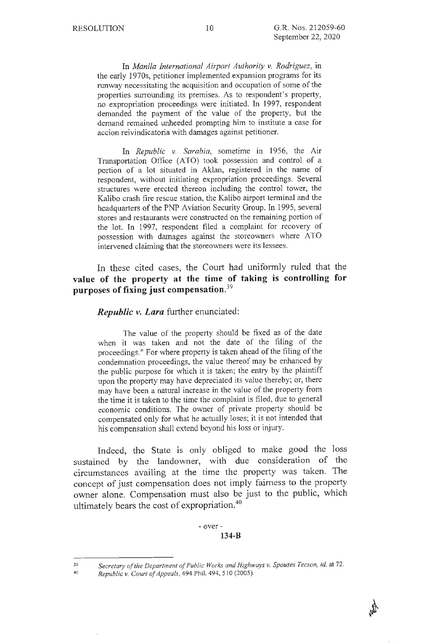In *Manila International Airport Authority v. Rodriguez,* in the early 1970s, petitioner implemented expansion programs for its runway necessitating the acquisition and occupation of some of the properties surrounding its premises. As to respondent's property, no expropriation proceedings were initiated. In 1997, respondent demanded the payment of the value of the property, but the demand remained unheeded prompting him to institute a case for accion reivindicatoria with damages against petitioner.

In *Republic v. Sarabia,* sometime in 1956, the Air Transportation Office (ATO) took possession and control of a portion of a lot situated in Aklan, registered in the name of respondent, without initiating expropriation proceedings. Several structures were erected thereon including the control tower, the Kalibo crash fire rescue station, the Kalibo airport terminal and the headquarters of the PNP Aviation Security Group. In 1995, several stores and restaurants were constructed on the remaining portion of the lot. In 1997, respondent filed a complaint for recovery of possession with damages against the storeowners where ATO intervened claiming that the storeowners were its lessees.

In these cited cases, the Court had uniformly ruled that the **value of the property at the time of taking is controlling for purposes of fixing just compensation.<sup>39</sup>**

*Republic v. Lara further enunciated:* 

The value of the property should be fixed as of the date when it was taken and not the date of the filing of the proceedings." For where property is taken ahead of the filing of the condemnation proceedings, the value thereof may be enhanced by the public purpose for which it is taken; the entry by the plaintiff upon the property may have depreciated its value thereby; or, there may have been a natural increase in the value of the property from the time it is taken to the time the complaint is filed, due to general economic conditions. The owner of private property should be compensated only for what he actually loses; it is not intended that his compensation shall extend beyond his loss or injury.

Indeed, the State is only obliged to make good the loss sustained by the landowner, with due consideration of the circumstances availing at the time the property was taken. The concept of just compensation does not imply fairness to the property owner alone. Compensation must also be just to the public, which ultimately bears the cost of expropriation.40

> - over - **134-B**

39 40

*Secretary of the Department of Public Works and Highways v. Spouses Tecson, id.* at 72.

*Republic v. Court of Appeals,* 494 Phil. 494, 510 (2005).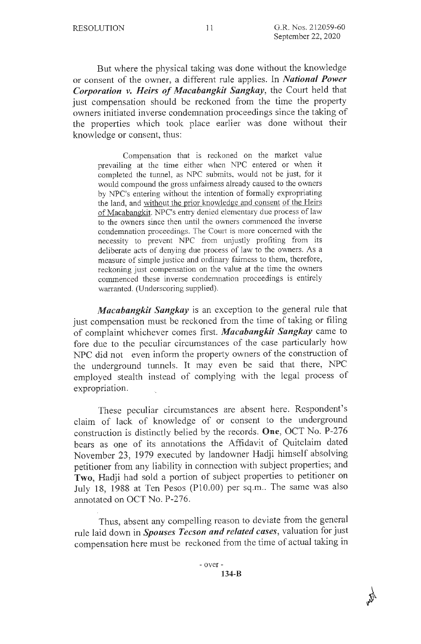But where the physical taking was done without the knowledge or consent of the owner, a different rule applies. In *National Power Corporation v. Heirs of Macabangkit Sangkay,* the Court held that just compensation should be reckoned from the time the property owners initiated inverse condemnation proceedings since the taking of the properties which took place earlier was done without their knowledge or consent, thus:

Compensation that is reckoned on the market value prevailing at the time either when NPC entered or when it completed the tunnel, as NPC submits, would not be just, for it would compound the gross unfairness already caused to the owners by NPC's entering without the intention of formally expropriating the land, and without the prior knowledge and consent of the Heirs of Macabangkit. NPC's entry denied elementary due process of law to the owners since then until the owners commenced the inverse condemnation proceedings. The Court is more concerned with the necessity to prevent NPC from unjustly profiting from its deliberate acts of denying due process of law to the owners. As a measure of simple justice and ordinary fairness to them, therefore, reckoning just compensation on the value at the time the owners commenced these inverse condemnation proceedings is entirely warranted. (Underscoring supplied).

*Macabangkit Sangkay* is an exception to the general rule that just compensation must be reckoned from the time of taking or filing of complaint whichever comes first. *Macabangkit Sangkay* came to fore due to the peculiar circumstances of the case particularly how NPC did not even inform the property owners of the construction of the underground tunnels. It may even be said that there, NPC employed stealth instead of complying with the legal process of expropriation.

These peculiar circumstances are absent here. Respondent's claim of lack of knowledge of or consent to the underground construction is distinctly belied by the records. **One,** OCT No. P-276 bears as one of its annotations the Affidavit of Quitclaim dated November 23, 1979 executed by landowner Hadji himself absolving petitioner from any liability in connection with subject properties; and **Two,** Hadji had sold a portion of subject properties to petitioner on July 18, 1988 at Ten Pesos (P10.00) per sq.m.. The same was also annotated on OCT No. P-276.

Thus, absent any compelling reason to deviate from the general rule laid down in *Spouses Tecson and related cases,* valuation for just compensation here must be reckoned from the time of actual taking in

 $\phi$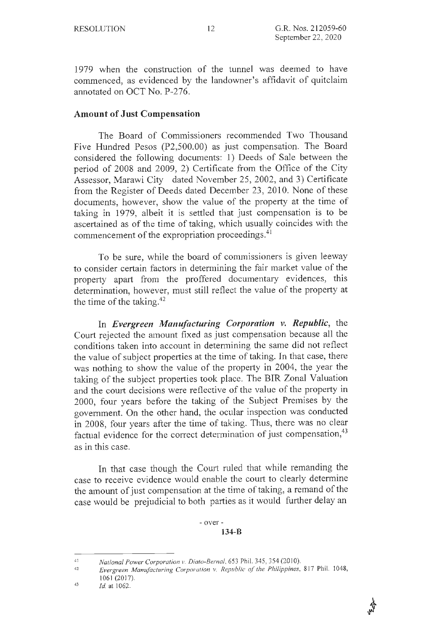1979 when the construction of the tunnel was deemed to have commenced, as evidenced by the landowner's affidavit of quitclaim annotated on OCT No. P-276.

### **Amount of Just Compensation**

The Board of Commissioners recommended Two Thousand Five Hundred Pesos (P2,500.00) as just compensation. The Board considered the following documents: 1) Deeds of Sale between the period of 2008 and 2009, 2) Certificate from the Office of the City Assessor, Marawi City dated November 25, 2002, and 3) Certificate from the Register of Deeds dated December 23, 2010. None of these documents, however, show the value of the property at the time of taking in 1979, albeit it is settled that just compensation is to be ascertained as of the time of taking, which usually coincides with the commencement of the expropriation proceedings.<sup>41</sup>

To be sure, while the board of commissioners is given leeway to consider certain factors in determining the fair market value of the property apart from the proffered documentary evidences, this determination, however, must still reflect the value of the property at the time of the taking. $42$ 

In *Evergreen Manufacturing Corporation v. Republic,* the Court rejected the amount fixed as just compensation because all the conditions taken into account in determining the same did not reflect the value of subject properties at the time of taking. In that case, there was nothing to show the value of the property in 2004, the year the taking of the subject properties took place. The BIR Zonal Valuation and the court decisions were reflective of the value of the property in 2000, four years before the taking of the Subject Premises by the government. On the other hand, the ocular inspection was conducted in 2008, four years after the time of taking. Thus, there was no clear factual evidence for the correct determination of just compensation, 43 as in this case.

In that case though the Court ruled that while remanding the case to receive evidence would enable the court to clearly determine the amount of just compensation at the time of taking, a remand of the case would be prejudicial to both parties as it would further delay an

<sup>41</sup>  *National Power Corporation v. Diato-Bernal*, 653 Phil. 345, 354 (2010).

<sup>42</sup>  *Evergreen Manufacturing Corporation v. Republic of the Philippines, 817 Phil. 1048,* 1061 (2017).

<sup>43</sup>  *ld.* at 1062.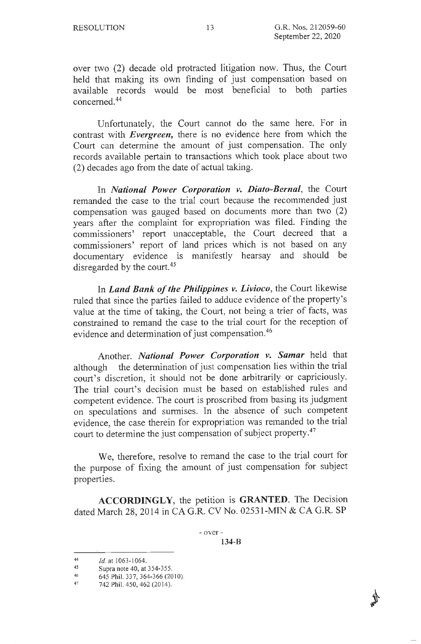over two (2) decade old protracted litigation now. Thus, the Court held that making its own finding of just compensation based on available records would be most beneficial to both parties concerned. 44

Unfortunately, the Court cannot do the same here. For in contrast with *Evergreen,* there is no evidence here from which the Court can determine the amount of just compensation. The only records available pertain to transactions which took place about two (2) decades ago from the date of actual taking.

In *National Power Corporation v. Diato-Bernal,* the Court remanded the case to the trial court because the recommended just compensation was gauged based on documents more than two (2) years after the complaint for expropriation was filed. Finding the commissioners' report unacceptable, the Court decreed that a commissioners' report of land prices which is not based on any documentary evidence is manifestly hearsay and should be disregarded by the court.<sup>45</sup>

In *Land Bank of the Philippines v. Livioco,* the Court likewise ruled that since the parties failed to adduce evidence of the property's value at the time of taking, the Court, not being a trier of facts, was constrained to remand the case to the trial court for the reception of evidence and determination of just compensation.<sup>46</sup>

Another. *National Power Corporation v. Samar* held that although the determination of just compensation lies within the trial court's discretion, it should not be done arbitrarily or capriciously. The trial court's decision must be based on established rules and competent evidence. The court is proscribed from basing its judgment on speculations and surmises. In the absence of such competent evidence, the case therein for expropriation was remanded to the trial court to determine the just compensation of subject property. 47

We, therefore, resolve to remand the case to the trial court for the purpose of fixing the amount of just compensation for subject properties.

**ACCORDINGLY,** the petition is **GRANTED.** The Decision dated March 28, 2014 in CA G.R. CV No. 02531-MIN & CA G.R. SP

- over -

**134-B** 

<sup>44</sup>  *Id.* at 1063-1064.

<sup>45</sup>  Supra note 40, at 354-355.

<sup>46</sup>  645 Phil. 337, 364-366 (2010).

<sup>47</sup>  742 Phil. 450, 462 (2014).